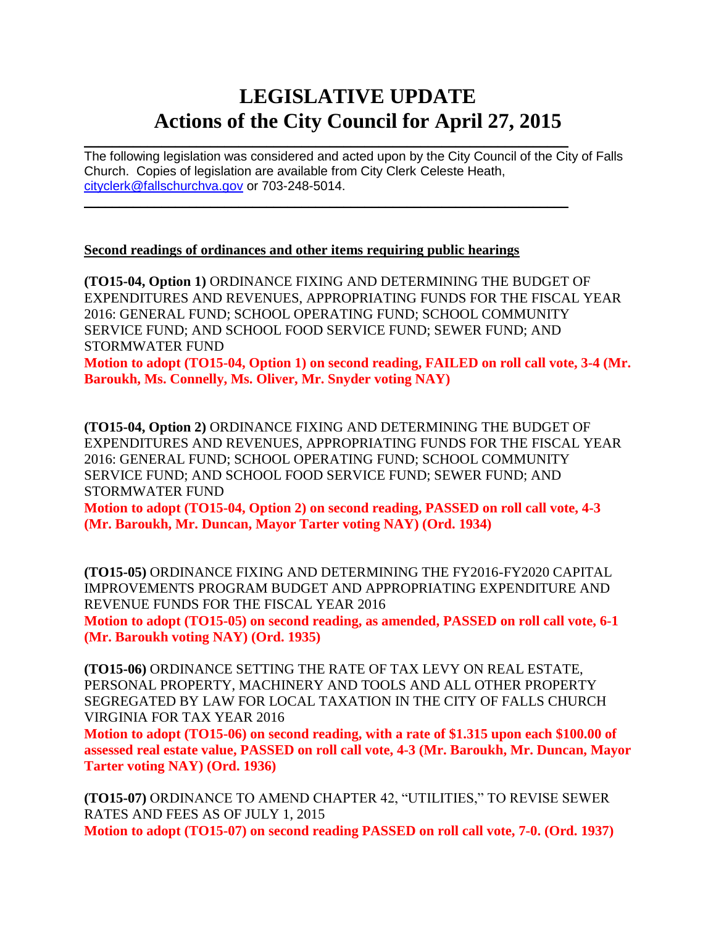# **LEGISLATIVE UPDATE Actions of the City Council for April 27, 2015**

 $\mathcal{L}_\text{max} = \mathcal{L}_\text{max} = \mathcal{L}_\text{max} = \mathcal{L}_\text{max} = \mathcal{L}_\text{max} = \mathcal{L}_\text{max} = \mathcal{L}_\text{max} = \mathcal{L}_\text{max} = \mathcal{L}_\text{max} = \mathcal{L}_\text{max} = \mathcal{L}_\text{max} = \mathcal{L}_\text{max} = \mathcal{L}_\text{max} = \mathcal{L}_\text{max} = \mathcal{L}_\text{max} = \mathcal{L}_\text{max} = \mathcal{L}_\text{max} = \mathcal{L}_\text{max} = \mathcal{$ The following legislation was considered and acted upon by the City Council of the City of Falls Church. Copies of legislation are available from City Clerk Celeste Heath, [cityclerk@fallschurchva.gov](mailto:cityclerk@fallschurchva.gov) or 703-248-5014.  $\mathcal{L}_\mathcal{L} = \mathcal{L}_\mathcal{L} = \mathcal{L}_\mathcal{L} = \mathcal{L}_\mathcal{L} = \mathcal{L}_\mathcal{L} = \mathcal{L}_\mathcal{L} = \mathcal{L}_\mathcal{L} = \mathcal{L}_\mathcal{L} = \mathcal{L}_\mathcal{L} = \mathcal{L}_\mathcal{L} = \mathcal{L}_\mathcal{L} = \mathcal{L}_\mathcal{L} = \mathcal{L}_\mathcal{L} = \mathcal{L}_\mathcal{L} = \mathcal{L}_\mathcal{L} = \mathcal{L}_\mathcal{L} = \mathcal{L}_\mathcal{L}$ 

#### **Second readings of ordinances and other items requiring public hearings**

**(TO15-04, Option 1)** ORDINANCE FIXING AND DETERMINING THE BUDGET OF EXPENDITURES AND REVENUES, APPROPRIATING FUNDS FOR THE FISCAL YEAR 2016: GENERAL FUND; SCHOOL OPERATING FUND; SCHOOL COMMUNITY SERVICE FUND; AND SCHOOL FOOD SERVICE FUND; SEWER FUND; AND STORMWATER FUND

**Motion to adopt (TO15-04, Option 1) on second reading, FAILED on roll call vote, 3-4 (Mr. Baroukh, Ms. Connelly, Ms. Oliver, Mr. Snyder voting NAY)**

**(TO15-04, Option 2)** ORDINANCE FIXING AND DETERMINING THE BUDGET OF EXPENDITURES AND REVENUES, APPROPRIATING FUNDS FOR THE FISCAL YEAR 2016: GENERAL FUND; SCHOOL OPERATING FUND; SCHOOL COMMUNITY SERVICE FUND; AND SCHOOL FOOD SERVICE FUND; SEWER FUND; AND STORMWATER FUND

**Motion to adopt (TO15-04, Option 2) on second reading, PASSED on roll call vote, 4-3 (Mr. Baroukh, Mr. Duncan, Mayor Tarter voting NAY) (Ord. 1934)**

**(TO15-05)** ORDINANCE FIXING AND DETERMINING THE FY2016-FY2020 CAPITAL IMPROVEMENTS PROGRAM BUDGET AND APPROPRIATING EXPENDITURE AND REVENUE FUNDS FOR THE FISCAL YEAR 2016 **Motion to adopt (TO15-05) on second reading, as amended, PASSED on roll call vote, 6-1 (Mr. Baroukh voting NAY) (Ord. 1935)**

**(TO15-06)** ORDINANCE SETTING THE RATE OF TAX LEVY ON REAL ESTATE, PERSONAL PROPERTY, MACHINERY AND TOOLS AND ALL OTHER PROPERTY SEGREGATED BY LAW FOR LOCAL TAXATION IN THE CITY OF FALLS CHURCH VIRGINIA FOR TAX YEAR 2016

**Motion to adopt (TO15-06) on second reading, with a rate of \$1.315 upon each \$100.00 of assessed real estate value, PASSED on roll call vote, 4-3 (Mr. Baroukh, Mr. Duncan, Mayor Tarter voting NAY) (Ord. 1936)**

**(TO15-07)** ORDINANCE TO AMEND CHAPTER 42, "UTILITIES," TO REVISE SEWER RATES AND FEES AS OF JULY 1, 2015 **Motion to adopt (TO15-07) on second reading PASSED on roll call vote, 7-0. (Ord. 1937)**